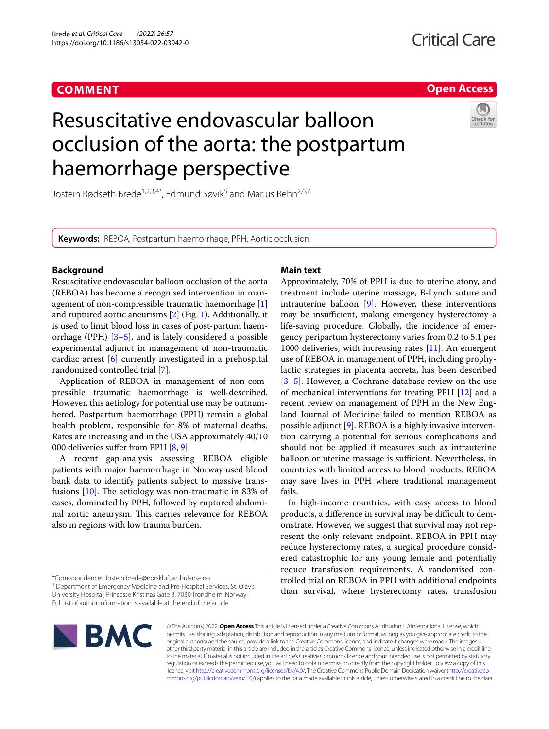### **COMMENT**



## Resuscitative endovascular balloon occlusion of the aorta: the postpartum haemorrhage perspective



Jostein Rødseth Brede<sup>1,2,3,4\*</sup>, Edmund Søvik<sup>5</sup> and Marius Rehn<sup>2,6,7</sup>

**Keywords:** REBOA, Postpartum haemorrhage, PPH, Aortic occlusion

#### **Background**

Resuscitative endovascular balloon occlusion of the aorta (REBOA) has become a recognised intervention in management of non-compressible traumatic haemorrhage [\[1](#page-1-0)] and ruptured aortic aneurisms [[2\]](#page-1-1) (Fig. [1](#page-1-2)). Additionally, it is used to limit blood loss in cases of post-partum haemorrhage (PPH) [\[3](#page-1-3)[–5](#page-1-4)], and is lately considered a possible experimental adjunct in management of non-traumatic cardiac arrest [[6\]](#page-1-5) currently investigated in a prehospital randomized controlled trial [[7\]](#page-1-6).

Application of REBOA in management of non-compressible traumatic haemorrhage is well-described. However, this aetiology for potential use may be outnumbered. Postpartum haemorrhage (PPH) remain a global health problem, responsible for 8% of maternal deaths. Rates are increasing and in the USA approximately 40/10 000 deliveries sufer from PPH [\[8](#page-1-7), [9\]](#page-1-8).

A recent gap-analysis assessing REBOA eligible patients with major haemorrhage in Norway used blood bank data to identify patients subject to massive transfusions  $[10]$  $[10]$ . The aetiology was non-traumatic in 83% of cases, dominated by PPH, followed by ruptured abdominal aortic aneurysm. This carries relevance for REBOA also in regions with low trauma burden.

## \*Correspondence: Jostein.brede@norskluftambulanse.no

<sup>1</sup> Department of Emergency Medicine and Pre-Hospital Services, St. Olav's University Hospital, Prinsesse Kristinas Gate 3, 7030 Trondheim, Norway

Full list of author information is available at the end of the article

# **BMC**

#### **Main text**

Approximately, 70% of PPH is due to uterine atony, and treatment include uterine massage, B-Lynch suture and intrauterine balloon [[9\]](#page-1-8). However, these interventions may be insufficient, making emergency hysterectomy a life-saving procedure. Globally, the incidence of emergency peripartum hysterectomy varies from 0.2 to 5.1 per 1000 deliveries, with increasing rates  $[11]$  $[11]$  $[11]$ . An emergent use of REBOA in management of PPH, including prophylactic strategies in placenta accreta, has been described [[3–](#page-1-3)[5\]](#page-1-4). However, a Cochrane database review on the use of mechanical interventions for treating PPH [\[12](#page-2-1)] and a recent review on management of PPH in the New England Journal of Medicine failed to mention REBOA as possible adjunct [\[9\]](#page-1-8). REBOA is a highly invasive intervention carrying a potential for serious complications and should not be applied if measures such as intrauterine balloon or uterine massage is sufficient. Nevertheless, in countries with limited access to blood products, REBOA may save lives in PPH where traditional management fails.

In high-income countries, with easy access to blood products, a difference in survival may be difficult to demonstrate. However, we suggest that survival may not represent the only relevant endpoint. REBOA in PPH may reduce hysterectomy rates, a surgical procedure considered catastrophic for any young female and potentially reduce transfusion requirements. A randomised controlled trial on REBOA in PPH with additional endpoints than survival, where hysterectomy rates, transfusion

© The Author(s) 2022. **Open Access** This article is licensed under a Creative Commons Attribution 4.0 International License, which permits use, sharing, adaptation, distribution and reproduction in any medium or format, as long as you give appropriate credit to the original author(s) and the source, provide a link to the Creative Commons licence, and indicate if changes were made. The images or other third party material in this article are included in the article's Creative Commons licence, unless indicated otherwise in a credit line to the material. If material is not included in the article's Creative Commons licence and your intended use is not permitted by statutory regulation or exceeds the permitted use, you will need to obtain permission directly from the copyright holder. To view a copy of this licence, visit [http://creativecommons.org/licenses/by/4.0/.](http://creativecommons.org/licenses/by/4.0/) The Creative Commons Public Domain Dedication waiver ([http://creativeco](http://creativecommons.org/publicdomain/zero/1.0/) [mmons.org/publicdomain/zero/1.0/](http://creativecommons.org/publicdomain/zero/1.0/)) applies to the data made available in this article, unless otherwise stated in a credit line to the data.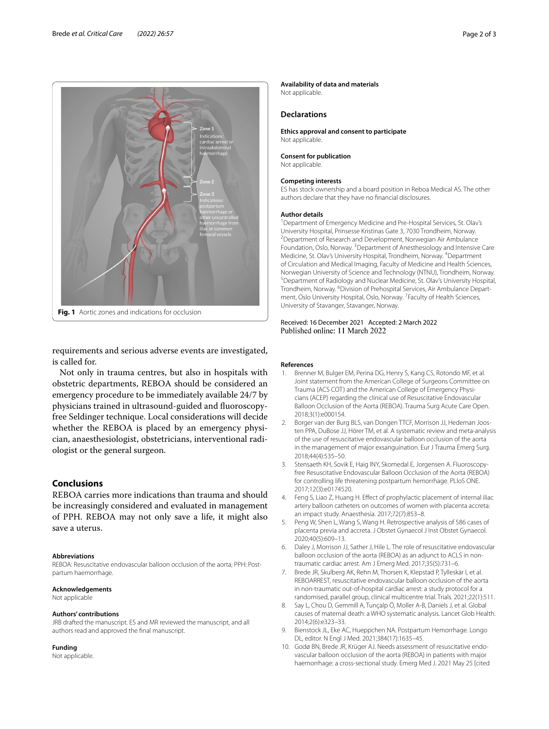

<span id="page-1-2"></span>requirements and serious adverse events are investigated, is called for.

Not only in trauma centres, but also in hospitals with obstetric departments, REBOA should be considered an emergency procedure to be immediately available 24/7 by physicians trained in ultrasound-guided and fuoroscopyfree Seldinger technique. Local considerations will decide whether the REBOA is placed by an emergency physician, anaesthesiologist, obstetricians, interventional radiologist or the general surgeon.

#### **Conclusions**

REBOA carries more indications than trauma and should be increasingly considered and evaluated in management of PPH. REBOA may not only save a life, it might also save a uterus.

#### **Abbreviations**

REBOA: Resuscitative endovascular balloon occlusion of the aorta; PPH: Postpartum haemorrhage.

#### **Acknowledgements**

Not applicable

#### **Authors' contributions**

JRB drafted the manuscript. ES and MR reviewed the manuscript, and all authors read and approved the fnal manuscript.

#### **Funding**

Not applicable.

#### **Availability of data and materials**

Not applicable.

#### **Declarations**

**Ethics approval and consent to participate** Not applicable.

#### **Consent for publication** Not applicable.

#### **Competing interests**

ES has stock ownership and a board position in Reboa Medical AS. The other authors declare that they have no fnancial disclosures.

#### **Author details**

<sup>1</sup> Department of Emergency Medicine and Pre-Hospital Services, St. Olav's University Hospital, Prinsesse Kristinas Gate 3, 7030 Trondheim, Norway. 2 <sup>2</sup> Department of Research and Development, Norwegian Air Ambulance Foundation, Oslo, Norway. <sup>3</sup> Department of Anesthesiology and Intensive Care Medicine, St. Olav's University Hospital, Trondheim, Norway. 4 Department of Circulation and Medical Imaging, Faculty of Medicine and Health Sciences, Norwegian University of Science and Technology (NTNU), Trondheim, Norway. 5 <sup>5</sup> Department of Radiology and Nuclear Medicine, St. Olav's University Hospital, Trondheim, Norway. <sup>6</sup> Division of Prehospital Services, Air Ambulance Department, Oslo University Hospital, Oslo, Norway. <sup>7</sup> Faculty of Health Sciences, University of Stavanger, Stavanger, Norway.

## Received: 16 December 2021 Accepted: 2 March 2022

#### **References**

- <span id="page-1-0"></span>1. Brenner M, Bulger EM, Perina DG, Henry S, Kang CS, Rotondo MF, et al. Joint statement from the American College of Surgeons Committee on Trauma (ACS COT) and the American College of Emergency Physicians (ACEP) regarding the clinical use of Resuscitative Endovascular Balloon Occlusion of the Aorta (REBOA). Trauma Surg Acute Care Open. 2018;3(1):e000154.
- <span id="page-1-1"></span>2. Borger van der Burg BLS, van Dongen TTCF, Morrison JJ, Hedeman Joosten PPA, DuBose JJ, Hörer TM, et al. A systematic review and meta-analysis of the use of resuscitative endovascular balloon occlusion of the aorta in the management of major exsanguination. Eur J Trauma Emerg Surg. 2018;44(4):535–50.
- <span id="page-1-3"></span>3. Stensaeth KH, Sovik E, Haig INY, Skomedal E, Jorgensen A. Fluoroscopyfree Resuscitative Endovascular Balloon Occlusion of the Aorta (REBOA) for controlling life threatening postpartum hemorrhage. PLloS ONE. 2017;12(3):e0174520.
- 4. Feng S, Liao Z, Huang H. Efect of prophylactic placement of internal iliac artery balloon catheters on outcomes of women with placenta accreta: an impact study. Anaesthesia. 2017;72(7):853–8.
- <span id="page-1-4"></span>5. Peng W, Shen L, Wang S, Wang H. Retrospective analysis of 586 cases of placenta previa and accreta. J Obstet Gynaecol J Inst Obstet Gynaecol. 2020;40(5):609–13.
- <span id="page-1-5"></span>6. Daley J, Morrison JJ, Sather J, Hile L. The role of resuscitative endovascular balloon occlusion of the aorta (REBOA) as an adjunct to ACLS in nontraumatic cardiac arrest. Am J Emerg Med. 2017;35(5):731–6.
- <span id="page-1-6"></span>7. Brede JR, Skulberg AK, Rehn M, Thorsen K, Klepstad P, Tylleskär I, et al. REBOARREST, resuscitative endovascular balloon occlusion of the aorta in non-traumatic out-of-hospital cardiac arrest: a study protocol for a randomised, parallel group, clinical multicentre trial. Trials. 2021;22(1):511.
- <span id="page-1-7"></span>8. Say L, Chou D, Gemmill A, Tunçalp Ö, Moller A-B, Daniels J, et al. Global causes of maternal death: a WHO systematic analysis. Lancet Glob Health. 2014;2(6):e323–33.
- <span id="page-1-8"></span>9. Bienstock JL, Eke AC, Hueppchen NA. Postpartum Hemorrhage. Longo DL, editor. N Engl J Med. 2021;384(17):1635–45.
- <span id="page-1-9"></span>10. Godø BN, Brede JR, Krüger AJ. Needs assessment of resuscitative endovascular balloon occlusion of the aorta (REBOA) in patients with major haemorrhage: a cross-sectional study. Emerg Med J. 2021 May 25 [cited